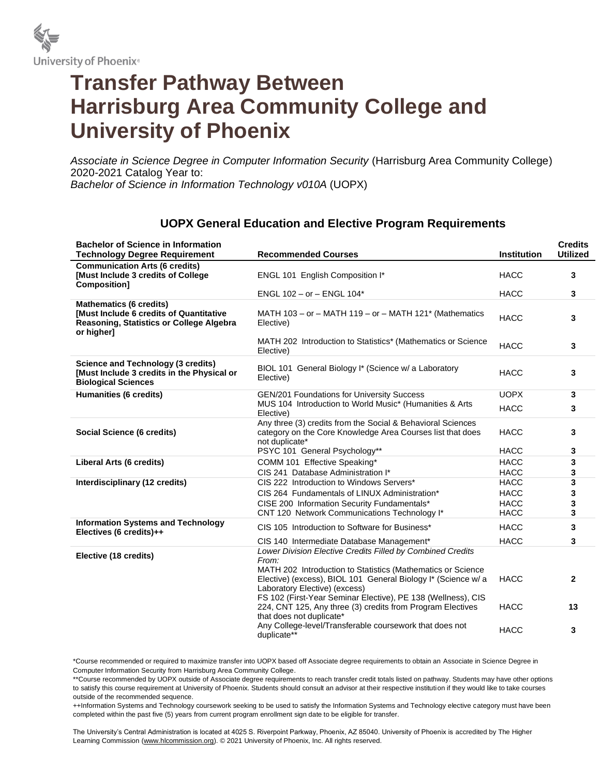

# **Transfer Pathway Between Harrisburg Area Community College and University of Phoenix**

*Associate in Science Degree in Computer Information Security* (Harrisburg Area Community College) 2020-2021 Catalog Year to: *Bachelor of Science in Information Technology v010A* (UOPX)

#### **Bachelor of Science in Information Technology Degree Requirement Recommended Courses Institution Credits Utilized Communication Arts (6 credits) [Must Include 3 credits of College Composition]** ENGL 101 English Composition I\* The Constantine Constantine Constantine Constantine Constantine Constantine Constantine Constantine Constantine Constantine Constantine Constantine Constantine Constantine Constantine Consta ENGL 102 – or – ENGL 104\* HACC **3 Mathematics (6 credits) [Must Include 6 credits of Quantitative Reasoning, Statistics or College Algebra or higher]** MATH 103 – or – MATH 119 – or – MATH 121\* (Mathematics Elective) HACC **<sup>3</sup>** MATH 202 Introduction to Statistics\* (Mathematics or Science Elective) HACC **<sup>3</sup> Science and Technology (3 credits) [Must Include 3 credits in the Physical or Biological Sciences** BIOL 101 General Biology I\* (Science w/ a Laboratory Elective) HACC **<sup>3</sup> Humanities (6 credits)** GEN/201 Foundations for University Success General COPX 3 MUS 104 Introduction to World Music\* (Humanities & Arts Elective) HACC **<sup>3</sup> Social Science (6 credits)** Any three (3) credits from the Social & Behavioral Sciences category on the Core Knowledge Area Courses list that does not duplicate\* HACC **3** PSYC 101 General Psychology\*\* **Accurate Accurate Accurate Accurate 3 Liberal Arts (6 credits)** COMM 101 Effective Speaking\* The COMM 101 Effective Speaking\* The COMM 101 Effective Speaking 1 CIS 241 Database Administration I\* HACC **3 Interdisciplinary (12 credits)** CIS 222 Introduction to Windows Servers<sup>\*</sup> HACC 3 CIS 264 Fundamentals of LINUX Administration\* HACC **3** CISE 200 Information Security Fundamentals\* HACC **3** CNT 120 Network Communications Technology I\* HACC **3 Information Systems and Technology Electives (6 credits)++** CIS 105 Introduction to Software for Business\* HACC **3** CIS 140 Intermediate Database Management\* HACC **3 Elective (18 credits)** *Lower Division Elective Credits Filled by Combined Credits From:* MATH 202 Introduction to Statistics (Mathematics or Science Elective) (excess), BIOL 101 General Biology I\* (Science w/ a Laboratory Elective) (excess) HACC **2** FS 102 (First-Year Seminar Elective), PE 138 (Wellness), CIS 224, CNT 125, Any three (3) credits from Program Electives that does not duplicate\* HACC **13** Any College-level/Transferable coursework that does not duplicate\*\* HACC **<sup>3</sup>**

## **UOPX General Education and Elective Program Requirements**

\*Course recommended or required to maximize transfer into UOPX based off Associate degree requirements to obtain an Associate in Science Degree in Computer Information Security from Harrisburg Area Community College.

\*\*Course recommended by UOPX outside of Associate degree requirements to reach transfer credit totals listed on pathway. Students may have other options to satisfy this course requirement at University of Phoenix. Students should consult an advisor at their respective institution if they would like to take courses outside of the recommended sequence.

++Information Systems and Technology coursework seeking to be used to satisfy the Information Systems and Technology elective category must have been completed within the past five (5) years from current program enrollment sign date to be eligible for transfer.

The University's Central Administration is located at 4025 S. Riverpoint Parkway, Phoenix, AZ 85040. University of Phoenix is accredited by The Higher Learning Commission (www.hlcommission.org). @ 2021 University of Phoenix, Inc. All rights reserved.